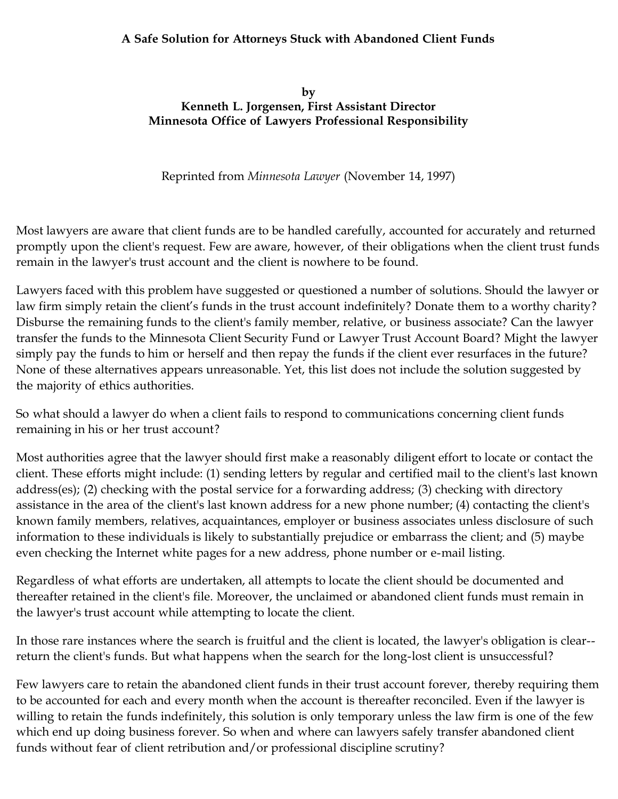## **A Safe Solution for Attorneys Stuck with Abandoned Client Funds**

## **by Kenneth L. Jorgensen, First Assistant Director Minnesota Office of Lawyers Professional Responsibility**

Reprinted from *Minnesota Lawyer* (November 14, 1997)

Most lawyers are aware that client funds are to be handled carefully, accounted for accurately and returned promptly upon the client's request. Few are aware, however, of their obligations when the client trust funds remain in the lawyer's trust account and the client is nowhere to be found.

Lawyers faced with this problem have suggested or questioned a number of solutions. Should the lawyer or law firm simply retain the client's funds in the trust account indefinitely? Donate them to a worthy charity? Disburse the remaining funds to the client's family member, relative, or business associate? Can the lawyer transfer the funds to the Minnesota Client Security Fund or Lawyer Trust Account Board? Might the lawyer simply pay the funds to him or herself and then repay the funds if the client ever resurfaces in the future? None of these alternatives appears unreasonable. Yet, this list does not include the solution suggested by the majority of ethics authorities.

So what should a lawyer do when a client fails to respond to communications concerning client funds remaining in his or her trust account?

Most authorities agree that the lawyer should first make a reasonably diligent effort to locate or contact the client. These efforts might include: (1) sending letters by regular and certified mail to the client's last known address(es); (2) checking with the postal service for a forwarding address; (3) checking with directory assistance in the area of the client's last known address for a new phone number; (4) contacting the client's known family members, relatives, acquaintances, employer or business associates unless disclosure of such information to these individuals is likely to substantially prejudice or embarrass the client; and (5) maybe even checking the Internet white pages for a new address, phone number or e-mail listing.

Regardless of what efforts are undertaken, all attempts to locate the client should be documented and thereafter retained in the client's file. Moreover, the unclaimed or abandoned client funds must remain in the lawyer's trust account while attempting to locate the client.

In those rare instances where the search is fruitful and the client is located, the lawyer's obligation is clear- return the client's funds. But what happens when the search for the long-lost client is unsuccessful?

Few lawyers care to retain the abandoned client funds in their trust account forever, thereby requiring them to be accounted for each and every month when the account is thereafter reconciled. Even if the lawyer is willing to retain the funds indefinitely, this solution is only temporary unless the law firm is one of the few which end up doing business forever. So when and where can lawyers safely transfer abandoned client funds without fear of client retribution and/or professional discipline scrutiny?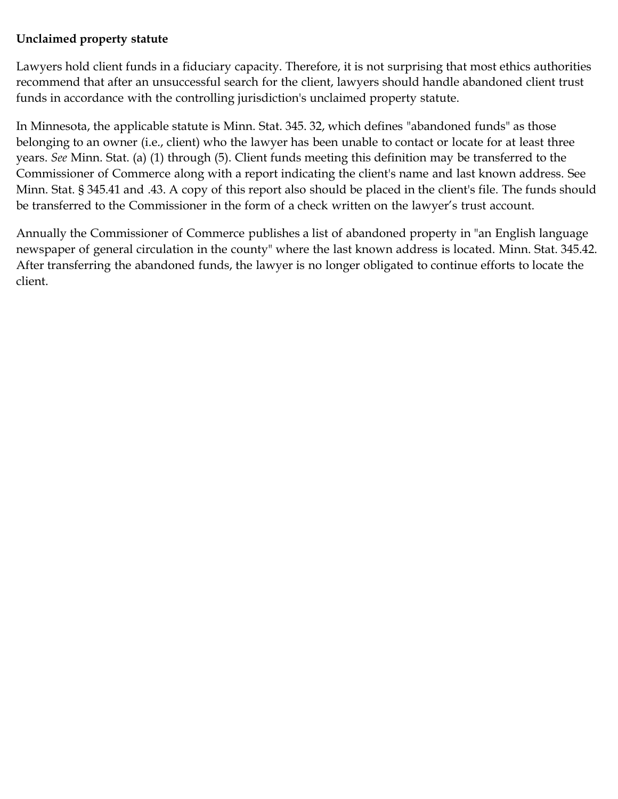## **Unclaimed property statute**

Lawyers hold client funds in a fiduciary capacity. Therefore, it is not surprising that most ethics authorities recommend that after an unsuccessful search for the client, lawyers should handle abandoned client trust funds in accordance with the controlling jurisdiction's unclaimed property statute.

In Minnesota, the applicable statute is Minn. Stat. 345. 32, which defines "abandoned funds" as those belonging to an owner (i.e., client) who the lawyer has been unable to contact or locate for at least three years. *See* Minn. Stat. (a) (1) through (5). Client funds meeting this definition may be transferred to the Commissioner of Commerce along with a report indicating the client's name and last known address. See Minn. Stat. § 345.41 and .43. A copy of this report also should be placed in the client's file. The funds should be transferred to the Commissioner in the form of a check written on the lawyer's trust account.

Annually the Commissioner of Commerce publishes a list of abandoned property in "an English language newspaper of general circulation in the county" where the last known address is located. Minn. Stat. 345.42. After transferring the abandoned funds, the lawyer is no longer obligated to continue efforts to locate the client.